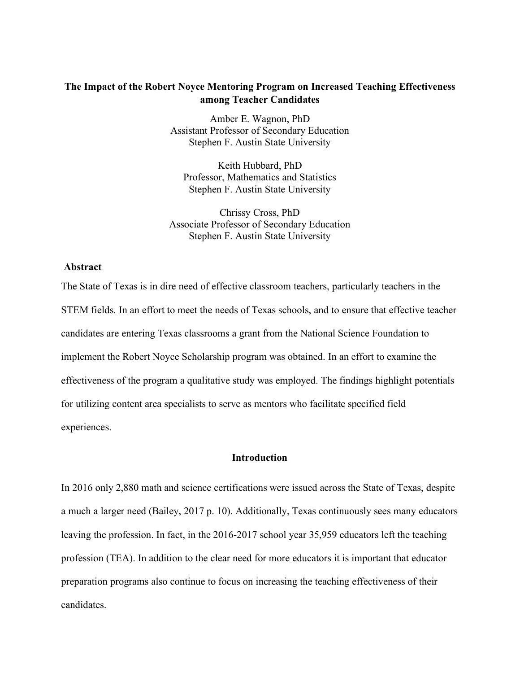# **The Impact of the Robert Noyce Mentoring Program on Increased Teaching Effectiveness among Teacher Candidates**

Amber E. Wagnon, PhD Assistant Professor of Secondary Education Stephen F. Austin State University

Keith Hubbard, PhD Professor, Mathematics and Statistics Stephen F. Austin State University

Chrissy Cross, PhD Associate Professor of Secondary Education Stephen F. Austin State University

## **Abstract**

The State of Texas is in dire need of effective classroom teachers, particularly teachers in the STEM fields. In an effort to meet the needs of Texas schools, and to ensure that effective teacher candidates are entering Texas classrooms a grant from the National Science Foundation to implement the Robert Noyce Scholarship program was obtained. In an effort to examine the effectiveness of the program a qualitative study was employed. The findings highlight potentials for utilizing content area specialists to serve as mentors who facilitate specified field experiences.

## **Introduction**

In 2016 only 2,880 math and science certifications were issued across the State of Texas, despite a much a larger need (Bailey, 2017 p. 10). Additionally, Texas continuously sees many educators leaving the profession. In fact, in the 2016-2017 school year 35,959 educators left the teaching profession (TEA). In addition to the clear need for more educators it is important that educator preparation programs also continue to focus on increasing the teaching effectiveness of their candidates.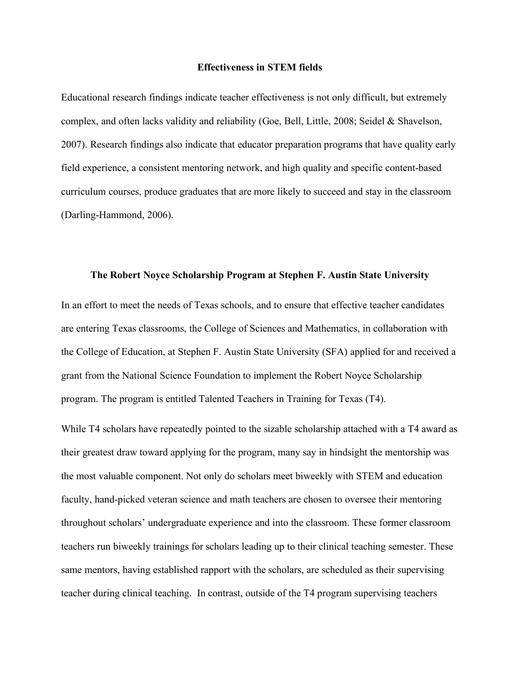#### **Effectiveness in STEM fields**

Educational research findings indicate teacher effectiveness is not only difficult, but extremely complex, and often lacks validity and reliability (Goe, Bell, Little, 2008; Seidel & Shavelson, 2007). Research findings also indicate that educator preparation programs that have quality early field experience, a consistent mentoring network, and high quality and specific content-based curriculum courses, produce graduates that are more likely to succeed and stay in the classroom (Darling-Hammond, 2006).

#### **The Robert Noyce Scholarship Program at Stephen F. Austin State University**

In an effort to meet the needs of Texas schools, and to ensure that effective teacher candidates are entering Texas classrooms, the College of Sciences and Mathematics, in collaboration with the College of Education, at Stephen F. Austin State University (SFA) applied for and received a grant from the National Science Foundation to implement the Robert Noyce Scholarship program. The program is entitled Talented Teachers in Training for Texas (T4).

While T4 scholars have repeatedly pointed to the sizable scholarship attached with a T4 award as their greatest draw toward applying for the program, many say in hindsight the mentorship was the most valuable component. Not only do scholars meet biweekly with STEM and education faculty, hand-picked veteran science and math teachers are chosen to oversee their mentoring throughout scholars' undergraduate experience and into the classroom. These former classroom teachers run biweekly trainings for scholars leading up to their clinical teaching semester. These same mentors, having established rapport with the scholars, are scheduled as their supervising teacher during clinical teaching. In contrast, outside of the T4 program supervising teachers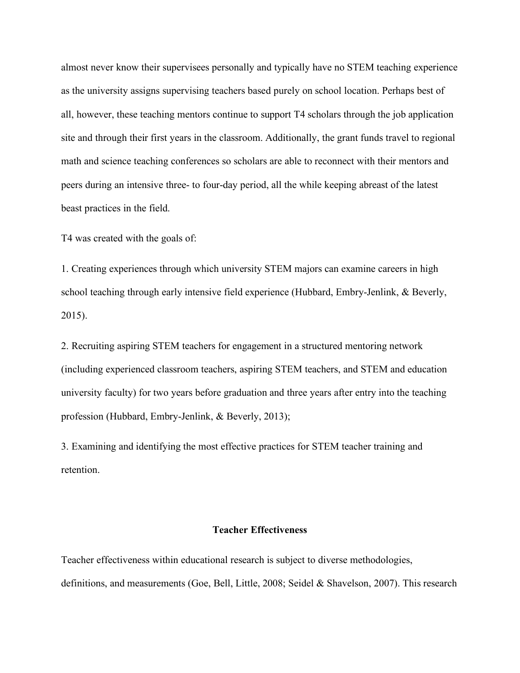almost never know their supervisees personally and typically have no STEM teaching experience as the university assigns supervising teachers based purely on school location. Perhaps best of all, however, these teaching mentors continue to support T4 scholars through the job application site and through their first years in the classroom. Additionally, the grant funds travel to regional math and science teaching conferences so scholars are able to reconnect with their mentors and peers during an intensive three- to four-day period, all the while keeping abreast of the latest beast practices in the field.

T4 was created with the goals of:

1. Creating experiences through which university STEM majors can examine careers in high school teaching through early intensive field experience (Hubbard, Embry-Jenlink, & Beverly, 2015).

2. Recruiting aspiring STEM teachers for engagement in a structured mentoring network (including experienced classroom teachers, aspiring STEM teachers, and STEM and education university faculty) for two years before graduation and three years after entry into the teaching profession (Hubbard, Embry-Jenlink, & Beverly, 2013);

3. Examining and identifying the most effective practices for STEM teacher training and retention.

## **Teacher Effectiveness**

Teacher effectiveness within educational research is subject to diverse methodologies, definitions, and measurements (Goe, Bell, Little, 2008; Seidel & Shavelson, 2007). This research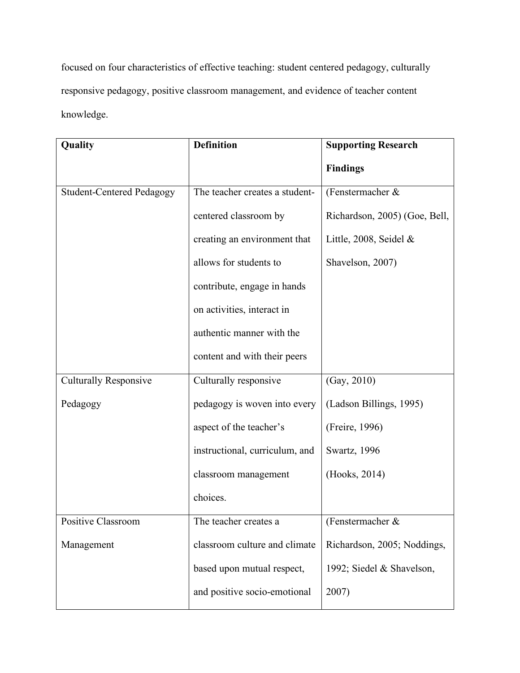focused on four characteristics of effective teaching: student centered pedagogy, culturally responsive pedagogy, positive classroom management, and evidence of teacher content knowledge.

| Quality                          | <b>Definition</b>              | <b>Supporting Research</b>    |
|----------------------------------|--------------------------------|-------------------------------|
|                                  |                                | <b>Findings</b>               |
| <b>Student-Centered Pedagogy</b> | The teacher creates a student- | (Fenstermacher &              |
|                                  | centered classroom by          | Richardson, 2005) (Goe, Bell, |
|                                  | creating an environment that   | Little, 2008, Seidel $&$      |
|                                  | allows for students to         | Shavelson, 2007)              |
|                                  | contribute, engage in hands    |                               |
|                                  | on activities, interact in     |                               |
|                                  | authentic manner with the      |                               |
|                                  | content and with their peers   |                               |
| <b>Culturally Responsive</b>     | Culturally responsive          | (Gay, 2010)                   |
| Pedagogy                         | pedagogy is woven into every   | (Ladson Billings, 1995)       |
|                                  | aspect of the teacher's        | (Freire, 1996)                |
|                                  | instructional, curriculum, and | Swartz, 1996                  |
|                                  | classroom management           | (Hooks, 2014)                 |
|                                  | choices.                       |                               |
| Positive Classroom               | The teacher creates a          | (Fenstermacher $\&$           |
| Management                       | classroom culture and climate  | Richardson, 2005; Noddings,   |
|                                  | based upon mutual respect,     | 1992; Siedel & Shavelson,     |
|                                  | and positive socio-emotional   | 2007)                         |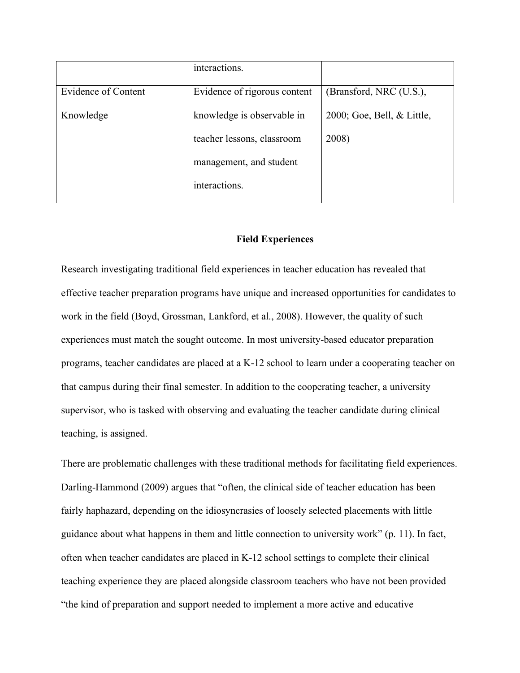| interactions.              |                              |
|----------------------------|------------------------------|
|                            |                              |
|                            | (Bransford, NRC (U.S.),      |
| knowledge is observable in | 2000; Goe, Bell, & Little,   |
| teacher lessons, classroom | 2008)                        |
| management, and student    |                              |
| interactions.              |                              |
|                            | Evidence of rigorous content |

# **Field Experiences**

Research investigating traditional field experiences in teacher education has revealed that effective teacher preparation programs have unique and increased opportunities for candidates to work in the field (Boyd, Grossman, Lankford, et al., 2008). However, the quality of such experiences must match the sought outcome. In most university-based educator preparation programs, teacher candidates are placed at a K-12 school to learn under a cooperating teacher on that campus during their final semester. In addition to the cooperating teacher, a university supervisor, who is tasked with observing and evaluating the teacher candidate during clinical teaching, is assigned.

There are problematic challenges with these traditional methods for facilitating field experiences. Darling-Hammond (2009) argues that "often, the clinical side of teacher education has been fairly haphazard, depending on the idiosyncrasies of loosely selected placements with little guidance about what happens in them and little connection to university work" (p. 11). In fact, often when teacher candidates are placed in K-12 school settings to complete their clinical teaching experience they are placed alongside classroom teachers who have not been provided "the kind of preparation and support needed to implement a more active and educative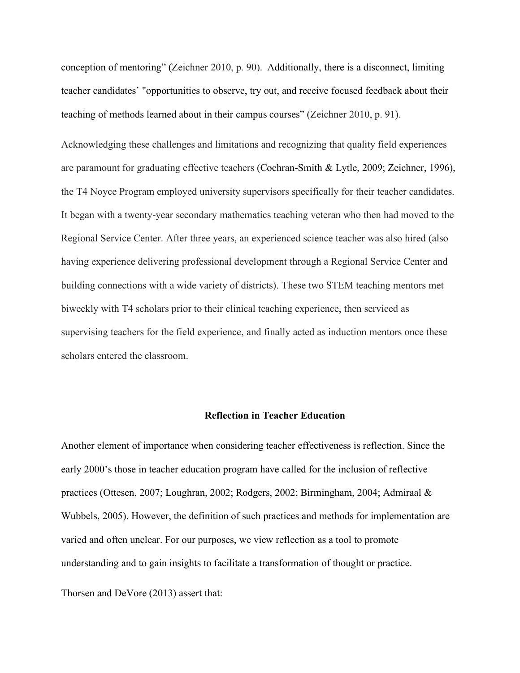conception of mentoring" (Zeichner 2010, p. 90). Additionally, there is a disconnect, limiting teacher candidates' "opportunities to observe, try out, and receive focused feedback about their teaching of methods learned about in their campus courses" (Zeichner 2010, p. 91).

Acknowledging these challenges and limitations and recognizing that quality field experiences are paramount for graduating effective teachers (Cochran-Smith & Lytle, 2009; Zeichner, 1996), the T4 Noyce Program employed university supervisors specifically for their teacher candidates. It began with a twenty-year secondary mathematics teaching veteran who then had moved to the Regional Service Center. After three years, an experienced science teacher was also hired (also having experience delivering professional development through a Regional Service Center and building connections with a wide variety of districts). These two STEM teaching mentors met biweekly with T4 scholars prior to their clinical teaching experience, then serviced as supervising teachers for the field experience, and finally acted as induction mentors once these scholars entered the classroom.

## **Reflection in Teacher Education**

Another element of importance when considering teacher effectiveness is reflection. Since the early 2000's those in teacher education program have called for the inclusion of reflective practices (Ottesen, 2007; Loughran, 2002; Rodgers, 2002; Birmingham, 2004; Admiraal & Wubbels, 2005). However, the definition of such practices and methods for implementation are varied and often unclear. For our purposes, we view reflection as a tool to promote understanding and to gain insights to facilitate a transformation of thought or practice.

Thorsen and DeVore (2013) assert that: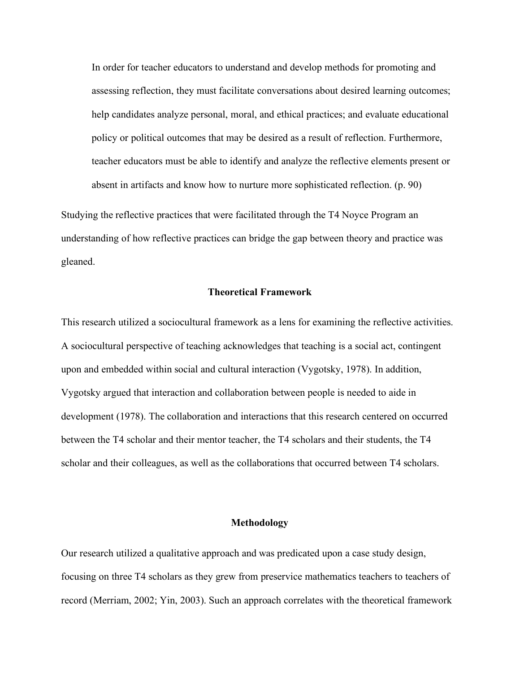In order for teacher educators to understand and develop methods for promoting and assessing reflection, they must facilitate conversations about desired learning outcomes; help candidates analyze personal, moral, and ethical practices; and evaluate educational policy or political outcomes that may be desired as a result of reflection. Furthermore, teacher educators must be able to identify and analyze the reflective elements present or absent in artifacts and know how to nurture more sophisticated reflection. (p. 90)

Studying the reflective practices that were facilitated through the T4 Noyce Program an understanding of how reflective practices can bridge the gap between theory and practice was gleaned.

#### **Theoretical Framework**

This research utilized a sociocultural framework as a lens for examining the reflective activities. A sociocultural perspective of teaching acknowledges that teaching is a social act, contingent upon and embedded within social and cultural interaction (Vygotsky, 1978). In addition, Vygotsky argued that interaction and collaboration between people is needed to aide in development (1978). The collaboration and interactions that this research centered on occurred between the T4 scholar and their mentor teacher, the T4 scholars and their students, the T4 scholar and their colleagues, as well as the collaborations that occurred between T4 scholars.

## **Methodology**

Our research utilized a qualitative approach and was predicated upon a case study design, focusing on three T4 scholars as they grew from preservice mathematics teachers to teachers of record (Merriam, 2002; Yin, 2003). Such an approach correlates with the theoretical framework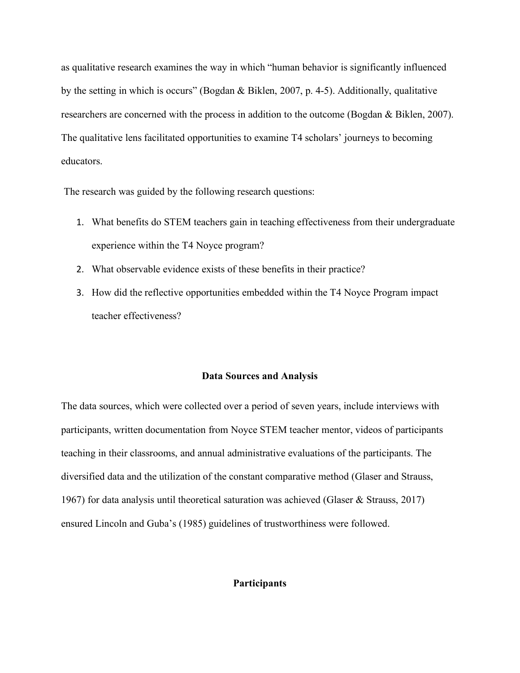as qualitative research examines the way in which "human behavior is significantly influenced by the setting in which is occurs" (Bogdan & Biklen, 2007, p. 4-5). Additionally, qualitative researchers are concerned with the process in addition to the outcome (Bogdan & Biklen, 2007). The qualitative lens facilitated opportunities to examine T4 scholars' journeys to becoming educators.

The research was guided by the following research questions:

- 1. What benefits do STEM teachers gain in teaching effectiveness from their undergraduate experience within the T4 Noyce program?
- 2. What observable evidence exists of these benefits in their practice?
- 3. How did the reflective opportunities embedded within the T4 Noyce Program impact teacher effectiveness?

#### **Data Sources and Analysis**

The data sources, which were collected over a period of seven years, include interviews with participants, written documentation from Noyce STEM teacher mentor, videos of participants teaching in their classrooms, and annual administrative evaluations of the participants. The diversified data and the utilization of the constant comparative method (Glaser and Strauss, 1967) for data analysis until theoretical saturation was achieved (Glaser & Strauss, 2017) ensured Lincoln and Guba's (1985) guidelines of trustworthiness were followed.

## **Participants**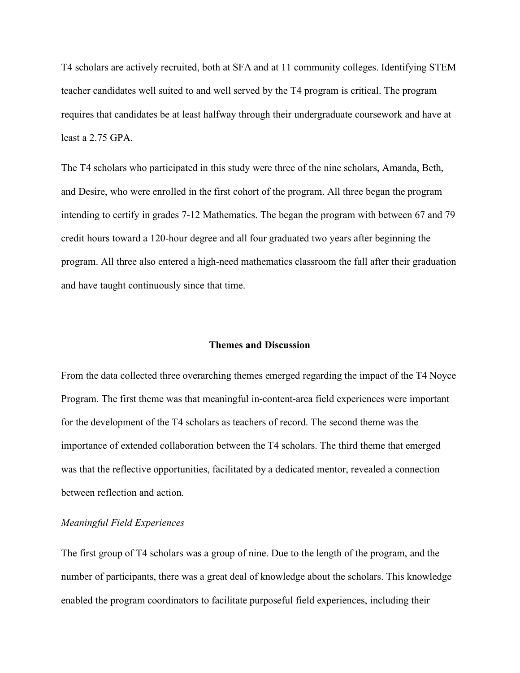T4 scholars are actively recruited, both at SFA and at 11 community colleges. Identifying STEM teacher candidates well suited to and well served by the T4 program is critical. The program requires that candidates be at least halfway through their undergraduate coursework and have at least a 2.75 GPA.

The T4 scholars who participated in this study were three of the nine scholars, Amanda, Beth, and Desire, who were enrolled in the first cohort of the program. All three began the program intending to certify in grades 7-12 Mathematics. The began the program with between 67 and 79 credit hours toward a 120-hour degree and all four graduated two years after beginning the program. All three also entered a high-need mathematics classroom the fall after their graduation and have taught continuously since that time.

## **Themes and Discussion**

From the data collected three overarching themes emerged regarding the impact of the T4 Noyce Program. The first theme was that meaningful in-content-area field experiences were important for the development of the T4 scholars as teachers of record. The second theme was the importance of extended collaboration between the T4 scholars. The third theme that emerged was that the reflective opportunities, facilitated by a dedicated mentor, revealed a connection between reflection and action.

## *Meaningful Field Experiences*

The first group of T4 scholars was a group of nine. Due to the length of the program, and the number of participants, there was a great deal of knowledge about the scholars. This knowledge enabled the program coordinators to facilitate purposeful field experiences, including their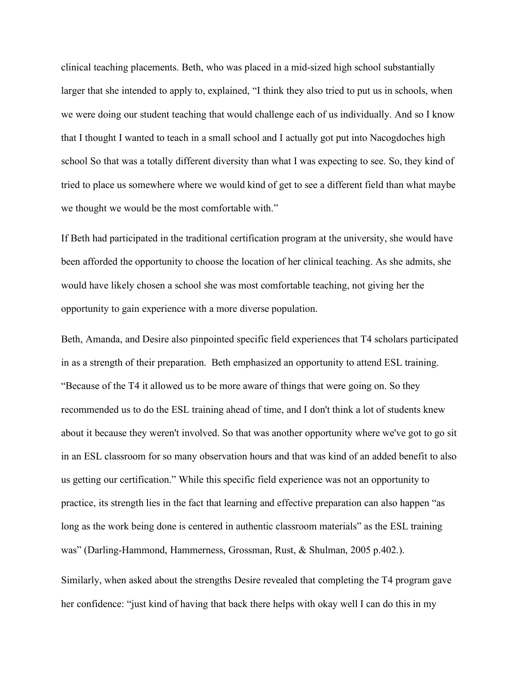clinical teaching placements. Beth, who was placed in a mid-sized high school substantially larger that she intended to apply to, explained, "I think they also tried to put us in schools, when we were doing our student teaching that would challenge each of us individually. And so I know that I thought I wanted to teach in a small school and I actually got put into Nacogdoches high school So that was a totally different diversity than what I was expecting to see. So, they kind of tried to place us somewhere where we would kind of get to see a different field than what maybe we thought we would be the most comfortable with."

If Beth had participated in the traditional certification program at the university, she would have been afforded the opportunity to choose the location of her clinical teaching. As she admits, she would have likely chosen a school she was most comfortable teaching, not giving her the opportunity to gain experience with a more diverse population.

Beth, Amanda, and Desire also pinpointed specific field experiences that T4 scholars participated in as a strength of their preparation. Beth emphasized an opportunity to attend ESL training. "Because of the T4 it allowed us to be more aware of things that were going on. So they recommended us to do the ESL training ahead of time, and I don't think a lot of students knew about it because they weren't involved. So that was another opportunity where we've got to go sit in an ESL classroom for so many observation hours and that was kind of an added benefit to also us getting our certification." While this specific field experience was not an opportunity to practice, its strength lies in the fact that learning and effective preparation can also happen "as long as the work being done is centered in authentic classroom materials" as the ESL training was" (Darling-Hammond, Hammerness, Grossman, Rust, & Shulman, 2005 p.402.).

Similarly, when asked about the strengths Desire revealed that completing the T4 program gave her confidence: "just kind of having that back there helps with okay well I can do this in my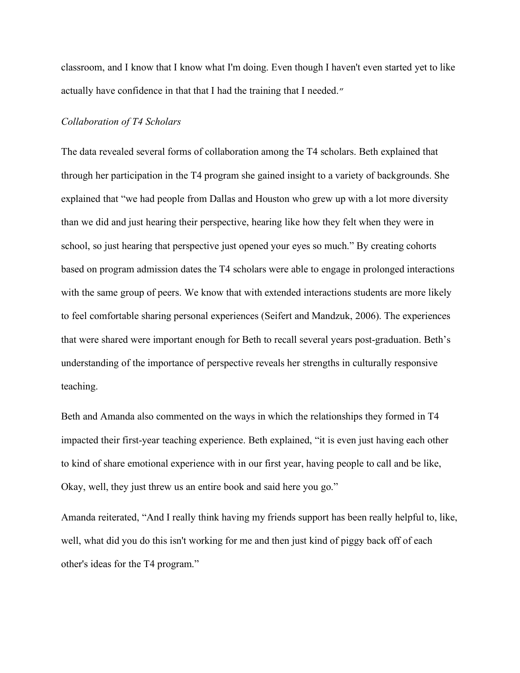classroom, and I know that I know what I'm doing. Even though I haven't even started yet to like actually have confidence in that that I had the training that I needed."

#### *Collaboration of T4 Scholars*

The data revealed several forms of collaboration among the T4 scholars. Beth explained that through her participation in the T4 program she gained insight to a variety of backgrounds. She explained that "we had people from Dallas and Houston who grew up with a lot more diversity than we did and just hearing their perspective, hearing like how they felt when they were in school, so just hearing that perspective just opened your eyes so much." By creating cohorts based on program admission dates the T4 scholars were able to engage in prolonged interactions with the same group of peers. We know that with extended interactions students are more likely to feel comfortable sharing personal experiences (Seifert and Mandzuk, 2006). The experiences that were shared were important enough for Beth to recall several years post-graduation. Beth's understanding of the importance of perspective reveals her strengths in culturally responsive teaching.

Beth and Amanda also commented on the ways in which the relationships they formed in T4 impacted their first-year teaching experience. Beth explained, "it is even just having each other to kind of share emotional experience with in our first year, having people to call and be like, Okay, well, they just threw us an entire book and said here you go."

Amanda reiterated, "And I really think having my friends support has been really helpful to, like, well, what did you do this isn't working for me and then just kind of piggy back off of each other's ideas for the T4 program."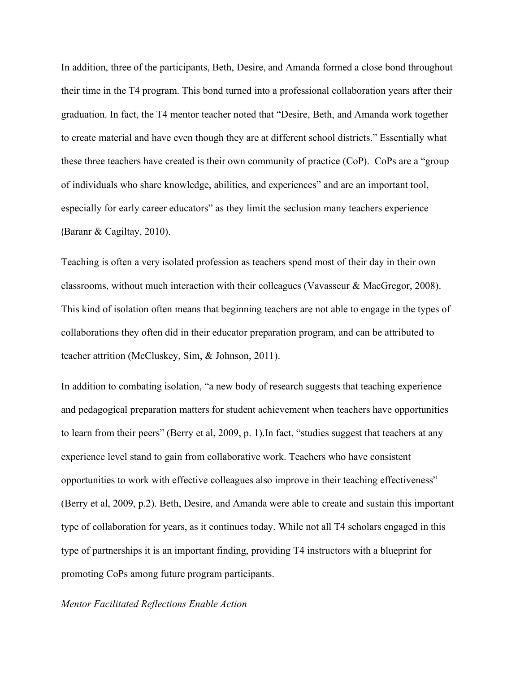In addition, three of the participants, Beth, Desire, and Amanda formed a close bond throughout their time in the T4 program. This bond turned into a professional collaboration years after their graduation. In fact, the T4 mentor teacher noted that "Desire, Beth, and Amanda work together to create material and have even though they are at different school districts." Essentially what these three teachers have created is their own community of practice (CoP). CoPs are a "group of individuals who share knowledge, abilities, and experiences" and are an important tool, especially for early career educators" as they limit the seclusion many teachers experience (Baranr & Cagiltay, 2010).

Teaching is often a very isolated profession as teachers spend most of their day in their own classrooms, without much interaction with their colleagues (Vavasseur & MacGregor, 2008). This kind of isolation often means that beginning teachers are not able to engage in the types of collaborations they often did in their educator preparation program, and can be attributed to teacher attrition (McCluskey, Sim, & Johnson, 2011).

In addition to combating isolation, "a new body of research suggests that teaching experience and pedagogical preparation matters for student achievement when teachers have opportunities to learn from their peers" (Berry et al, 2009, p. 1).In fact, "studies suggest that teachers at any experience level stand to gain from collaborative work. Teachers who have consistent opportunities to work with effective colleagues also improve in their teaching effectiveness" (Berry et al, 2009, p.2). Beth, Desire, and Amanda were able to create and sustain this important type of collaboration for years, as it continues today. While not all T4 scholars engaged in this type of partnerships it is an important finding, providing T4 instructors with a blueprint for promoting CoPs among future program participants.

# *Mentor Facilitated Reflections Enable Action*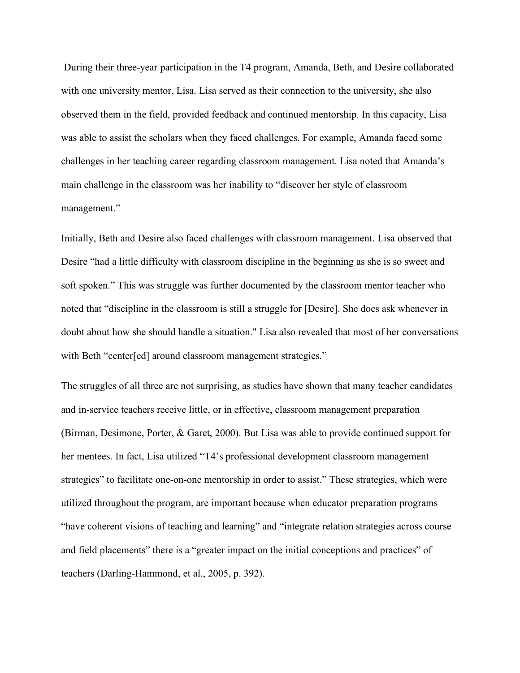During their three-year participation in the T4 program, Amanda, Beth, and Desire collaborated with one university mentor, Lisa. Lisa served as their connection to the university, she also observed them in the field, provided feedback and continued mentorship. In this capacity, Lisa was able to assist the scholars when they faced challenges. For example, Amanda faced some challenges in her teaching career regarding classroom management. Lisa noted that Amanda's main challenge in the classroom was her inability to "discover her style of classroom management."

Initially, Beth and Desire also faced challenges with classroom management. Lisa observed that Desire "had a little difficulty with classroom discipline in the beginning as she is so sweet and soft spoken." This was struggle was further documented by the classroom mentor teacher who noted that "discipline in the classroom is still a struggle for [Desire]. She does ask whenever in doubt about how she should handle a situation." Lisa also revealed that most of her conversations with Beth "center[ed] around classroom management strategies."

The struggles of all three are not surprising, as studies have shown that many teacher candidates and in-service teachers receive little, or in effective, classroom management preparation (Birman, Desimone, Porter, & Garet, 2000). But Lisa was able to provide continued support for her mentees. In fact, Lisa utilized "T4's professional development classroom management strategies" to facilitate one-on-one mentorship in order to assist." These strategies, which were utilized throughout the program, are important because when educator preparation programs "have coherent visions of teaching and learning" and "integrate relation strategies across course and field placements" there is a "greater impact on the initial conceptions and practices" of teachers (Darling-Hammond, et al., 2005, p. 392).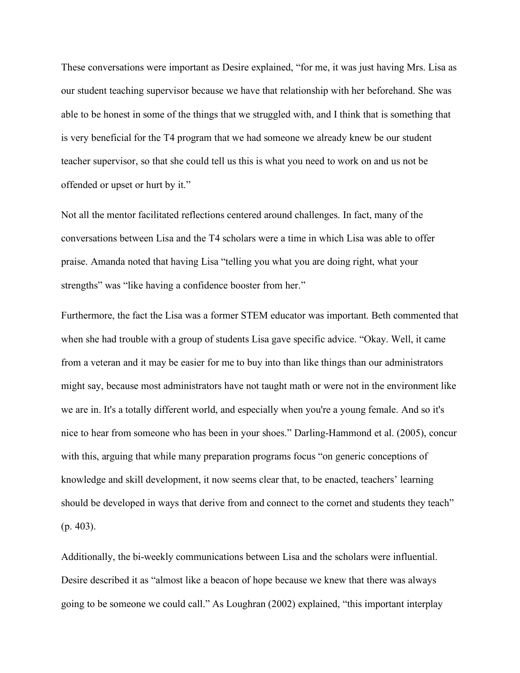These conversations were important as Desire explained, "for me, it was just having Mrs. Lisa as our student teaching supervisor because we have that relationship with her beforehand. She was able to be honest in some of the things that we struggled with, and I think that is something that is very beneficial for the T4 program that we had someone we already knew be our student teacher supervisor, so that she could tell us this is what you need to work on and us not be offended or upset or hurt by it."

Not all the mentor facilitated reflections centered around challenges. In fact, many of the conversations between Lisa and the T4 scholars were a time in which Lisa was able to offer praise. Amanda noted that having Lisa "telling you what you are doing right, what your strengths" was "like having a confidence booster from her."

Furthermore, the fact the Lisa was a former STEM educator was important. Beth commented that when she had trouble with a group of students Lisa gave specific advice. "Okay. Well, it came from a veteran and it may be easier for me to buy into than like things than our administrators might say, because most administrators have not taught math or were not in the environment like we are in. It's a totally different world, and especially when you're a young female. And so it's nice to hear from someone who has been in your shoes." Darling-Hammond et al. (2005), concur with this, arguing that while many preparation programs focus "on generic conceptions of knowledge and skill development, it now seems clear that, to be enacted, teachers' learning should be developed in ways that derive from and connect to the cornet and students they teach" (p. 403).

Additionally, the bi-weekly communications between Lisa and the scholars were influential. Desire described it as "almost like a beacon of hope because we knew that there was always going to be someone we could call." As Loughran (2002) explained, "this important interplay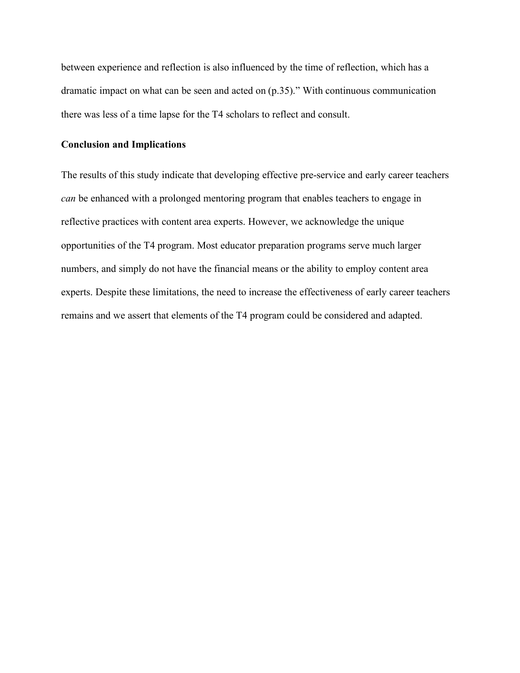between experience and reflection is also influenced by the time of reflection, which has a dramatic impact on what can be seen and acted on (p.35)." With continuous communication there was less of a time lapse for the T4 scholars to reflect and consult.

## **Conclusion and Implications**

The results of this study indicate that developing effective pre-service and early career teachers *can* be enhanced with a prolonged mentoring program that enables teachers to engage in reflective practices with content area experts. However, we acknowledge the unique opportunities of the T4 program. Most educator preparation programs serve much larger numbers, and simply do not have the financial means or the ability to employ content area experts. Despite these limitations, the need to increase the effectiveness of early career teachers remains and we assert that elements of the T4 program could be considered and adapted.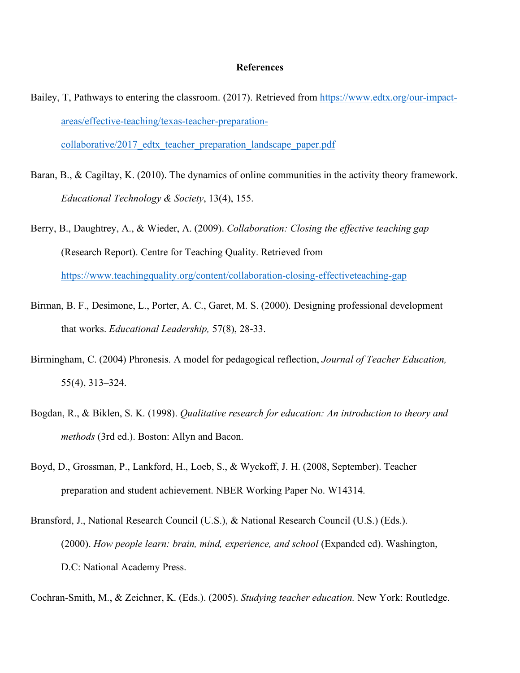#### **References**

- Bailey, T, Pathways to entering the classroom. (2017). Retrieved from https://www.edtx.org/our-impactareas/effective-teaching/texas-teacher-preparationcollaborative/2017\_edtx\_teacher\_preparation\_landscape\_paper.pdf
- Baran, B., & Cagiltay, K. (2010). The dynamics of online communities in the activity theory framework. *Educational Technology & Society*, 13(4), 155.
- Berry, B., Daughtrey, A., & Wieder, A. (2009). *Collaboration: Closing the effective teaching gap* (Research Report). Centre for Teaching Quality. Retrieved from https://www.teachingquality.org/content/collaboration-closing-effectiveteaching-gap
- Birman, B. F., Desimone, L., Porter, A. C., Garet, M. S. (2000). Designing professional development that works. *Educational Leadership,* 57(8), 28-33.
- Birmingham, C. (2004) Phronesis. A model for pedagogical reflection, *Journal of Teacher Education,* 55(4), 313–324.
- Bogdan, R., & Biklen, S. K. (1998). *Qualitative research for education: An introduction to theory and methods* (3rd ed.). Boston: Allyn and Bacon.
- Boyd, D., Grossman, P., Lankford, H., Loeb, S., & Wyckoff, J. H. (2008, September). Teacher preparation and student achievement. NBER Working Paper No. W14314.
- Bransford, J., National Research Council (U.S.), & National Research Council (U.S.) (Eds.). (2000). *How people learn: brain, mind, experience, and school* (Expanded ed). Washington, D.C: National Academy Press.

Cochran-Smith, M., & Zeichner, K. (Eds.). (2005). *Studying teacher education.* New York: Routledge.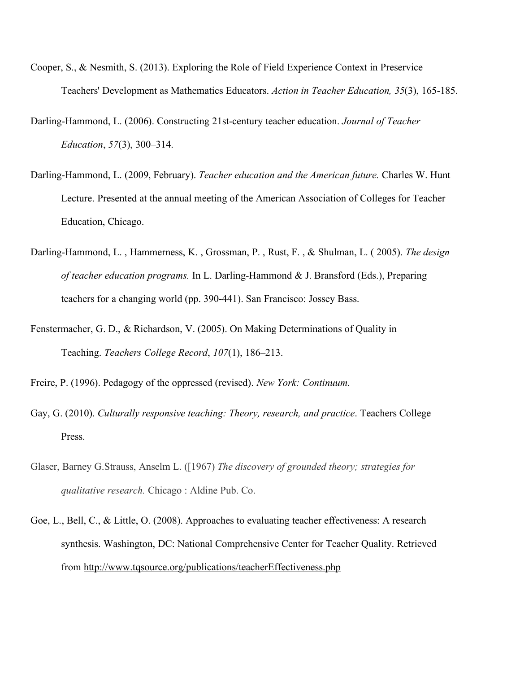- Cooper, S., & Nesmith, S. (2013). Exploring the Role of Field Experience Context in Preservice Teachers' Development as Mathematics Educators. *Action in Teacher Education, 35*(3), 165-185.
- Darling-Hammond, L. (2006). Constructing 21st-century teacher education. *Journal of Teacher Education*, *57*(3), 300–314.
- Darling-Hammond, L. (2009, February). *Teacher education and the American future.* Charles W. Hunt Lecture. Presented at the annual meeting of the American Association of Colleges for Teacher Education, Chicago.
- Darling-Hammond, L. , Hammerness, K. , Grossman, P. , Rust, F. , & Shulman, L. ( 2005). *The design of teacher education programs.* In L. Darling-Hammond & J. Bransford (Eds.), Preparing teachers for a changing world (pp. 390-441). San Francisco: Jossey Bass.
- Fenstermacher, G. D., & Richardson, V. (2005). On Making Determinations of Quality in Teaching. *Teachers College Record*, *107*(1), 186–213.
- Freire, P. (1996). Pedagogy of the oppressed (revised). *New York: Continuum*.
- Gay, G. (2010). *Culturally responsive teaching: Theory, research, and practice*. Teachers College Press.
- Glaser, Barney G.Strauss, Anselm L. ([1967) *The discovery of grounded theory; strategies for qualitative research.* Chicago : Aldine Pub. Co.
- Goe, L., Bell, C., & Little, O. (2008). Approaches to evaluating teacher effectiveness: A research synthesis. Washington, DC: National Comprehensive Center for Teacher Quality. Retrieved from http://www.tqsource.org/publications/teacherEffectiveness.php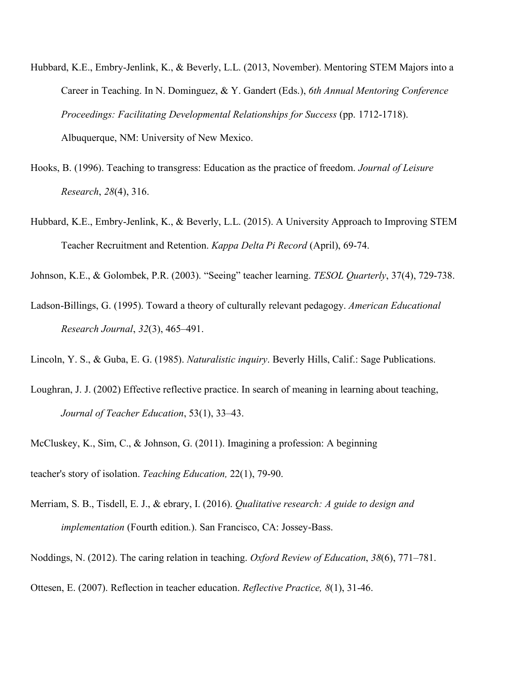- Hubbard, K.E., Embry-Jenlink, K., & Beverly, L.L. (2013, November). Mentoring STEM Majors into a Career in Teaching. In N. Dominguez, & Y. Gandert (Eds.), *6th Annual Mentoring Conference Proceedings: Facilitating Developmental Relationships for Success* (pp. 1712-1718). Albuquerque, NM: University of New Mexico.
- Hooks, B. (1996). Teaching to transgress: Education as the practice of freedom. *Journal of Leisure Research*, *28*(4), 316.
- Hubbard, K.E., Embry-Jenlink, K., & Beverly, L.L. (2015). A University Approach to Improving STEM Teacher Recruitment and Retention. *Kappa Delta Pi Record* (April), 69-74.

Johnson, K.E., & Golombek, P.R. (2003). "Seeing" teacher learning. *TESOL Quarterly*, 37(4), 729-738.

Ladson-Billings, G. (1995). Toward a theory of culturally relevant pedagogy. *American Educational Research Journal*, *32*(3), 465–491.

Lincoln, Y. S., & Guba, E. G. (1985). *Naturalistic inquiry*. Beverly Hills, Calif.: Sage Publications.

- Loughran, J. J. (2002) Effective reflective practice. In search of meaning in learning about teaching, *Journal of Teacher Education*, 53(1), 33–43.
- McCluskey, K., Sim, C., & Johnson, G. (2011). Imagining a profession: A beginning

teacher's story of isolation. *Teaching Education,* 22(1), 79-90.

- Merriam, S. B., Tisdell, E. J., & ebrary, I. (2016). *Qualitative research: A guide to design and implementation* (Fourth edition.). San Francisco, CA: Jossey-Bass.
- Noddings, N. (2012). The caring relation in teaching. *Oxford Review of Education*, *38*(6), 771–781.

Ottesen, E. (2007). Reflection in teacher education. *Reflective Practice, 8*(1), 31-46.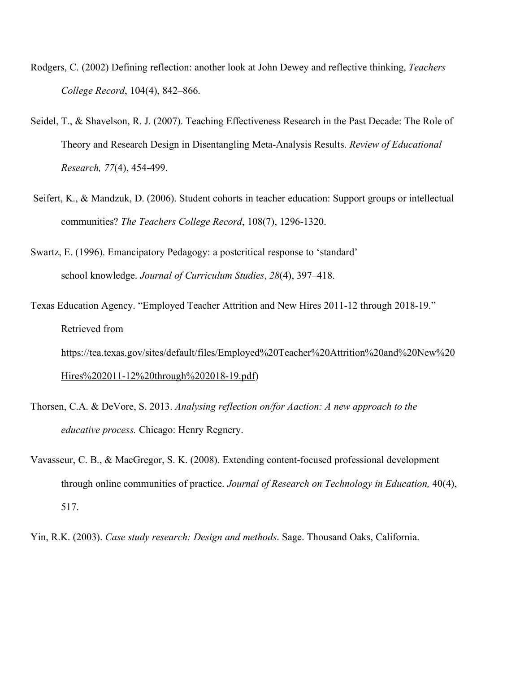- Rodgers, C. (2002) Defining reflection: another look at John Dewey and reflective thinking, *Teachers College Record*, 104(4), 842–866.
- Seidel, T., & Shavelson, R. J. (2007). Teaching Effectiveness Research in the Past Decade: The Role of Theory and Research Design in Disentangling Meta-Analysis Results. *Review of Educational Research, 77*(4), 454-499.
- Seifert, K., & Mandzuk, D. (2006). Student cohorts in teacher education: Support groups or intellectual communities? *The Teachers College Record*, 108(7), 1296-1320.
- Swartz, E. (1996). Emancipatory Pedagogy: a postcritical response to 'standard' school knowledge. *Journal of Curriculum Studies*, *28*(4), 397–418.
- Texas Education Agency. "Employed Teacher Attrition and New Hires 2011-12 through 2018-19." Retrieved from https://tea.texas.gov/sites/default/files/Employed%20Teacher%20Attrition%20and%20New%20 Hires%202011-12%20through%202018-19.pdf)
- Thorsen, C.A. & DeVore, S. 2013. *Analysing reflection on/for Aaction: A new approach to the educative process.* Chicago: Henry Regnery.
- Vavasseur, C. B., & MacGregor, S. K. (2008). Extending content-focused professional development through online communities of practice. *Journal of Research on Technology in Education,* 40(4), 517.

Yin, R.K. (2003). *Case study research: Design and methods*. Sage. Thousand Oaks, California.